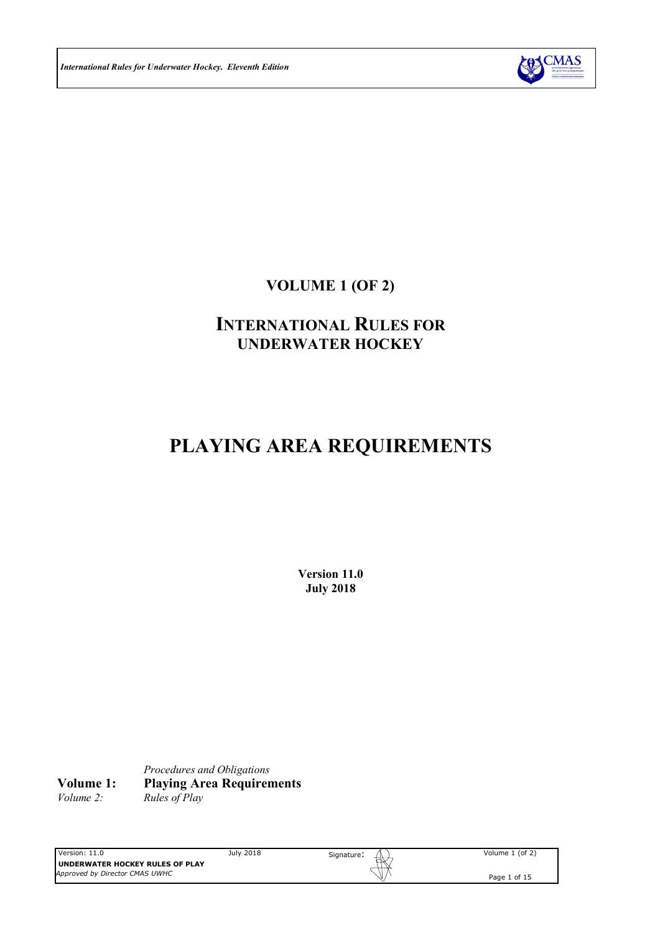

**VOLUME 1 (OF 2)**

# **INTERNATIONAL RULES FOR UNDERWATER HOCKEY**

# **PLAYING AREA REQUIREMENTS**

**Version 11.0 July 2018**

*Procedures and Obligations* **Volume 1: Playing Area Requirements**<br>*Volume 2: Rules of Play Volume 2: Rules of Play*

Version: 11.0 July 2018 **UNDERWATER HOCKEY RULES OF PLAY** *Approved by Director CMAS UWHC*

Signature: Volume 1 (of 2)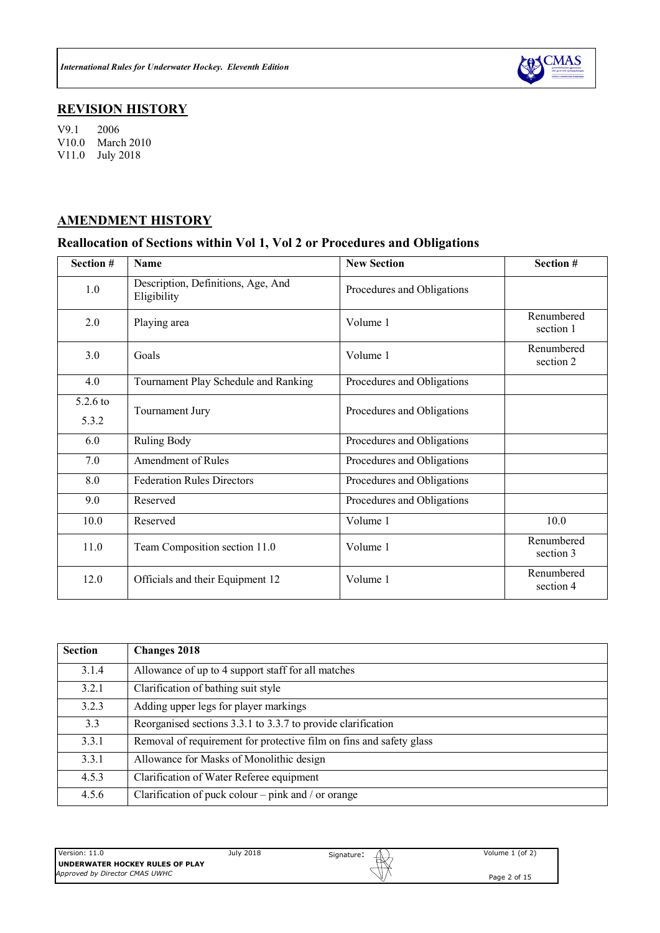

# **REVISION HISTORY**

V9.1 2006 V10.0 March 2010 V11.0 July 2018

# **AMENDMENT HISTORY**

# **Reallocation of Sections within Vol 1, Vol 2 or Procedures and Obligations**

| Section #         | <b>Name</b>                                       | <b>New Section</b>         | Section #               |
|-------------------|---------------------------------------------------|----------------------------|-------------------------|
| 1.0               | Description, Definitions, Age, And<br>Eligibility | Procedures and Obligations |                         |
| 2.0               | Playing area                                      | Volume 1                   | Renumbered<br>section 1 |
| 3.0               | Goals                                             | Volume 1                   | Renumbered<br>section 2 |
| 4.0               | Tournament Play Schedule and Ranking              | Procedures and Obligations |                         |
| 5.2.6 to<br>5.3.2 | Tournament Jury                                   | Procedures and Obligations |                         |
| 6.0               | Ruling Body                                       | Procedures and Obligations |                         |
| 7.0               | <b>Amendment of Rules</b>                         | Procedures and Obligations |                         |
| 8.0               | <b>Federation Rules Directors</b>                 | Procedures and Obligations |                         |
| 9.0               | Reserved                                          | Procedures and Obligations |                         |
| 10.0              | Reserved                                          | Volume 1                   | 10.0                    |
| 11.0              | Team Composition section 11.0                     | Volume 1                   | Renumbered<br>section 3 |
| 12.0              | Officials and their Equipment 12                  | Volume 1                   | Renumbered<br>section 4 |

| <b>Section</b> | <b>Changes 2018</b>                                                 |
|----------------|---------------------------------------------------------------------|
| 3.1.4          | Allowance of up to 4 support staff for all matches                  |
| 3.2.1          | Clarification of bathing suit style                                 |
| 3.2.3          | Adding upper legs for player markings                               |
| 3.3            | Reorganised sections 3.3.1 to 3.3.7 to provide clarification        |
| 3.3.1          | Removal of requirement for protective film on fins and safety glass |
| 3.3.1          | Allowance for Masks of Monolithic design                            |
| 4.5.3          | Clarification of Water Referee equipment                            |
| 4.5.6          | Clarification of puck colour – pink and / or orange                 |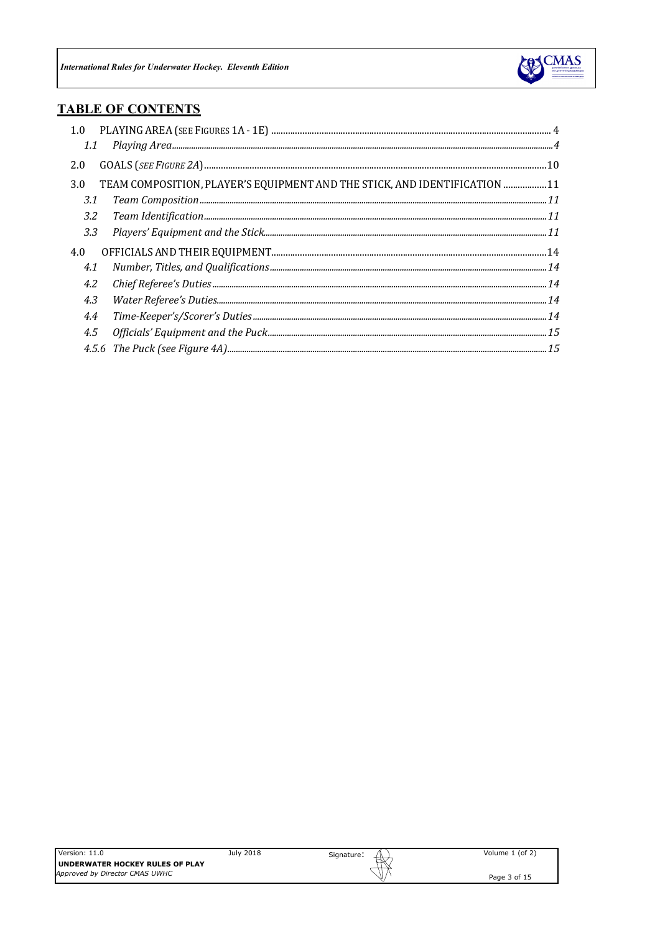

# **TABLE OF CONTENTS**

| 1.0 |                                                                            |  |
|-----|----------------------------------------------------------------------------|--|
|     |                                                                            |  |
| 2.0 |                                                                            |  |
| 3.0 | TEAM COMPOSITION, PLAYER'S EQUIPMENT AND THE STICK, AND IDENTIFICATION  11 |  |
| 3.1 |                                                                            |  |
| 3.2 |                                                                            |  |
| 3.3 |                                                                            |  |
| 4.0 |                                                                            |  |
| 4.1 |                                                                            |  |
| 4.2 |                                                                            |  |
| 4.3 |                                                                            |  |
| 4.4 |                                                                            |  |
| 4.5 |                                                                            |  |
|     |                                                                            |  |

July 2018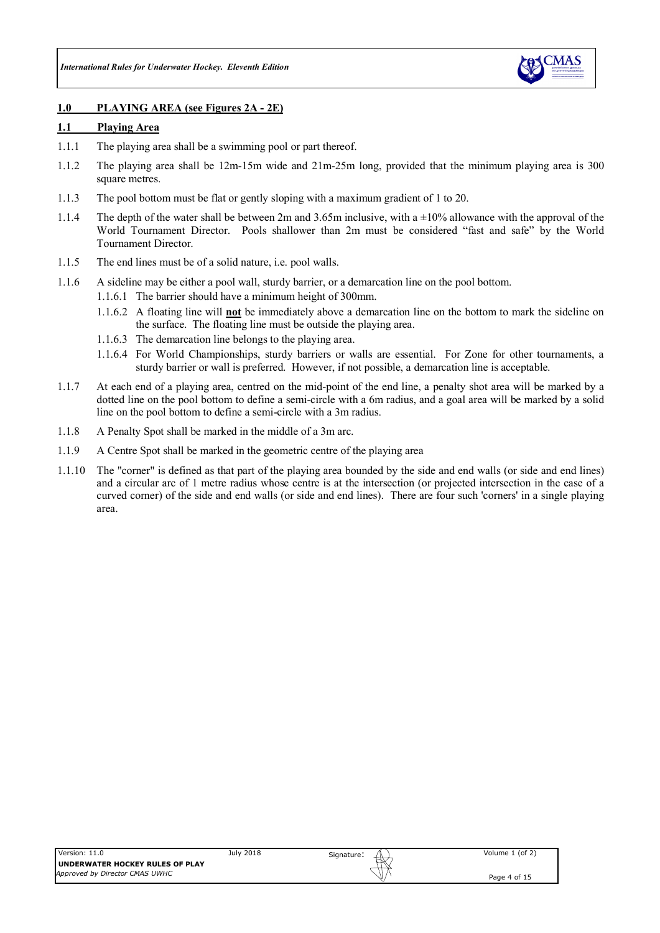

### **1.0 PLAYING AREA (see Figures 2A - 2E)**

#### **1.1 Playing Area**

- 1.1.1 The playing area shall be a swimming pool or part thereof.
- 1.1.2 The playing area shall be 12m-15m wide and 21m-25m long, provided that the minimum playing area is 300 square metres.
- 1.1.3 The pool bottom must be flat or gently sloping with a maximum gradient of 1 to 20.
- 1.1.4 The depth of the water shall be between 2m and 3.65m inclusive, with a  $\pm 10\%$  allowance with the approval of the World Tournament Director. Pools shallower than 2m must be considered "fast and safe" by the World Tournament Director.
- 1.1.5 The end lines must be of a solid nature, i.e. pool walls.
- 1.1.6 A sideline may be either a pool wall, sturdy barrier, or a demarcation line on the pool bottom.
	- 1.1.6.1 The barrier should have a minimum height of 300mm.
	- 1.1.6.2 A floating line will **not** be immediately above a demarcation line on the bottom to mark the sideline on the surface. The floating line must be outside the playing area.
	- 1.1.6.3 The demarcation line belongs to the playing area.
	- 1.1.6.4 For World Championships, sturdy barriers or walls are essential. For Zone for other tournaments, a sturdy barrier or wall is preferred. However, if not possible, a demarcation line is acceptable.
- 1.1.7 At each end of a playing area, centred on the mid-point of the end line, a penalty shot area will be marked by a dotted line on the pool bottom to define a semi-circle with a 6m radius, and a goal area will be marked by a solid line on the pool bottom to define a semi-circle with a 3m radius.
- 1.1.8 A Penalty Spot shall be marked in the middle of a 3m arc.
- 1.1.9 A Centre Spot shall be marked in the geometric centre of the playing area
- 1.1.10 The "corner" is defined as that part of the playing area bounded by the side and end walls (or side and end lines) and a circular arc of 1 metre radius whose centre is at the intersection (or projected intersection in the case of a curved corner) of the side and end walls (or side and end lines). There are four such 'corners' in a single playing area.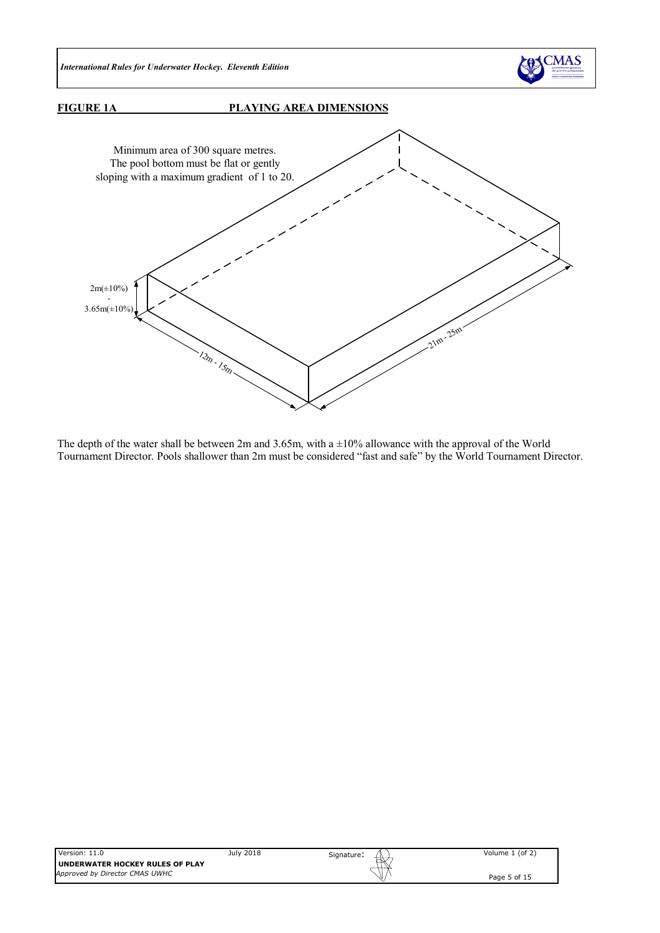

### **FIGURE 1A PLAYING AREA DIMENSIONS**



The depth of the water shall be between 2m and 3.65m, with a  $\pm 10\%$  allowance with the approval of the World Tournament Director. Pools shallower than 2m must be considered "fast and safe" by the World Tournament Director.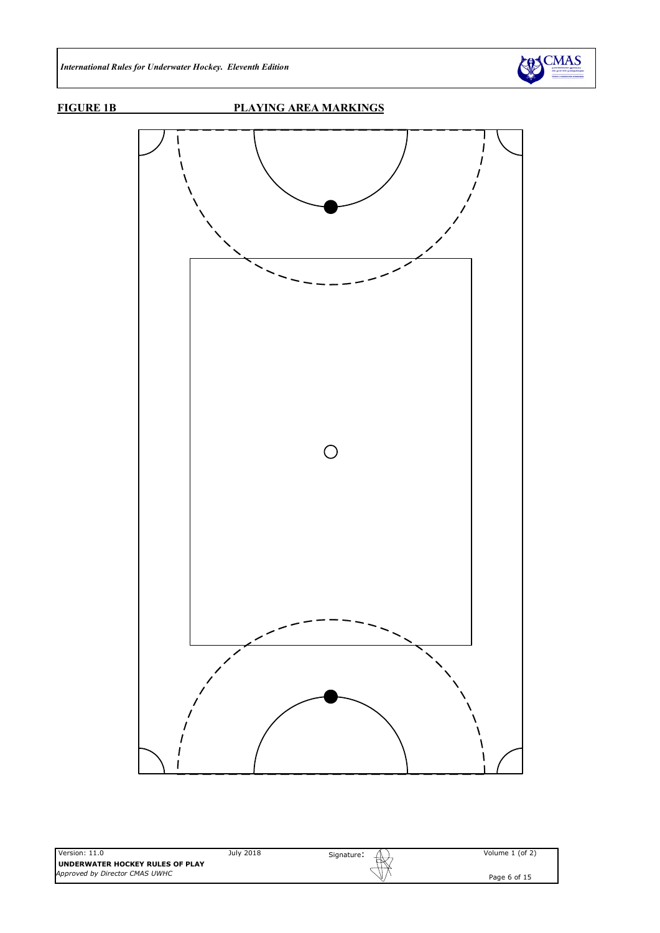

# **FIGURE 1B PLAYING AREA MARKINGS**

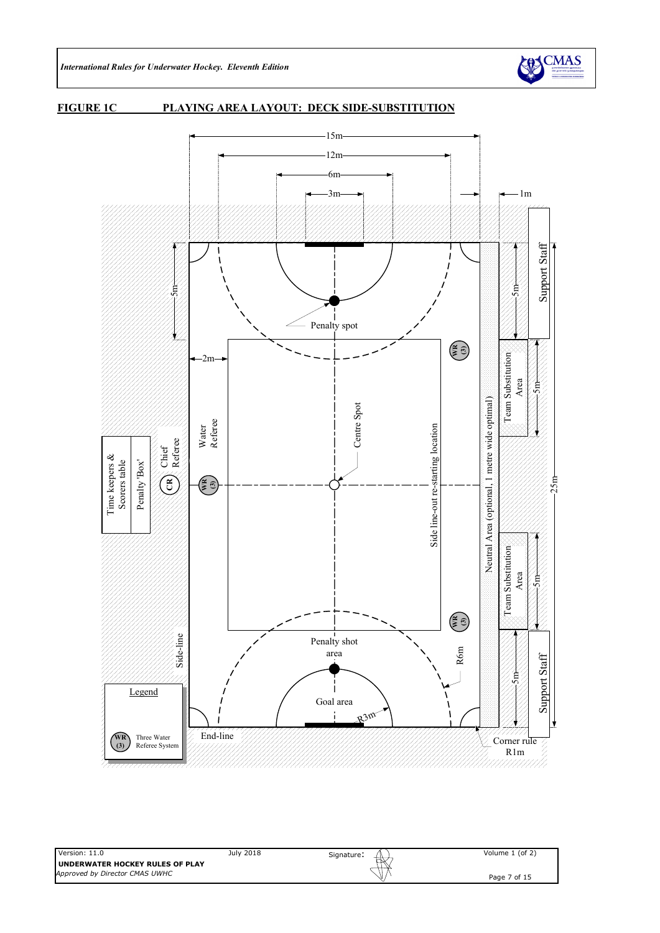

#### **FIGURE 1C PLAYING AREA LAYOUT: DECK SIDE-SUBSTITUTION**

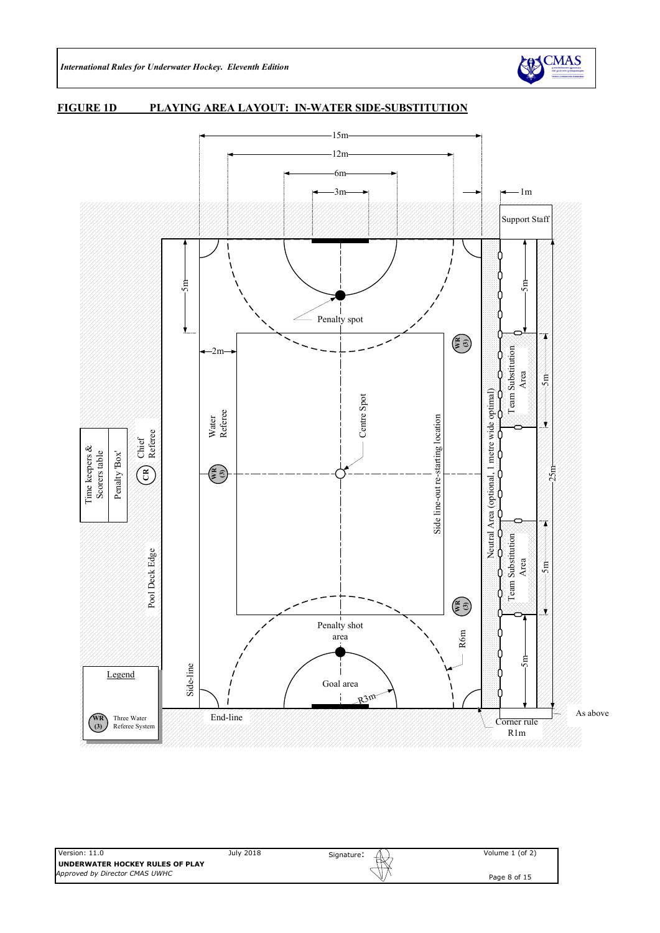

#### **FIGURE 1D PLAYING AREA LAYOUT: IN-WATER SIDE-SUBSTITUTION**

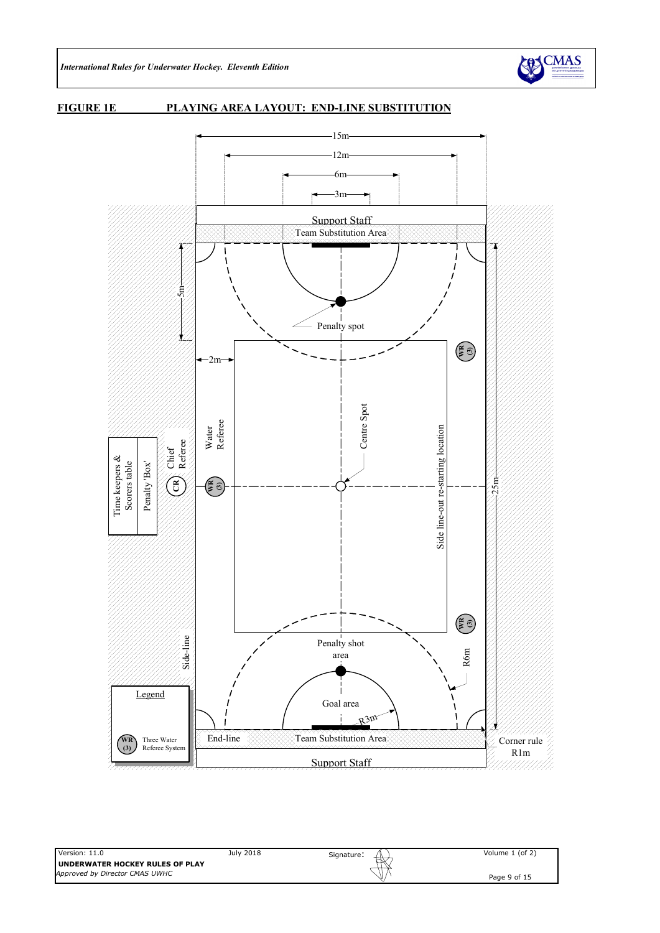

#### **FIGURE 1E PLAYING AREA LAYOUT: END-LINE SUBSTITUTION**

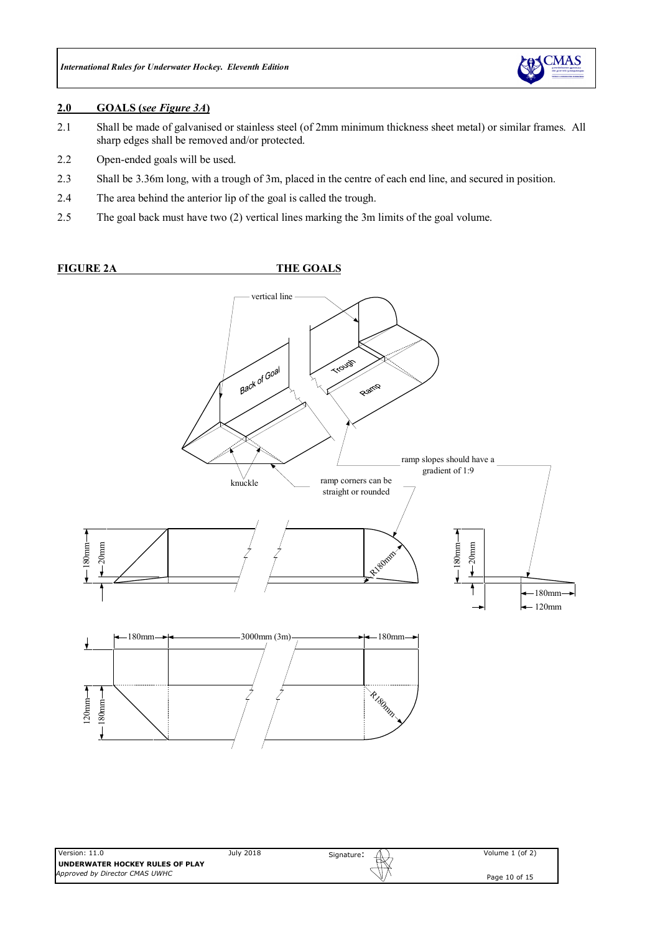

#### **2.0 GOALS (***see Figure 3A***)**

- 2.1 Shall be made of galvanised or stainless steel (of 2mm minimum thickness sheet metal) or similar frames. All sharp edges shall be removed and/or protected.
- 2.2 Open-ended goals will be used.
- 2.3 Shall be 3.36m long, with a trough of 3m, placed in the centre of each end line, and secured in position.
- 2.4 The area behind the anterior lip of the goal is called the trough.
- 2.5 The goal back must have two (2) vertical lines marking the 3m limits of the goal volume.

### **FIGURE 2A THE GOALS**

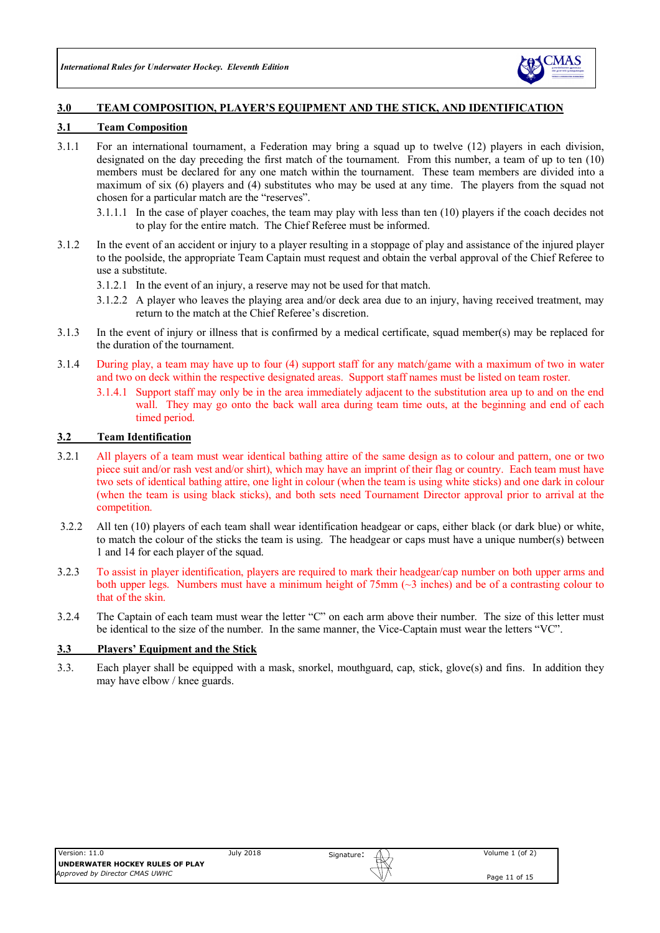

### **3.0 TEAM COMPOSITION, PLAYER'S EQUIPMENT AND THE STICK, AND IDENTIFICATION**

#### **3.1 Team Composition**

- 3.1.1 For an international tournament, a Federation may bring a squad up to twelve (12) players in each division, designated on the day preceding the first match of the tournament. From this number, a team of up to ten (10) members must be declared for any one match within the tournament. These team members are divided into a maximum of six (6) players and (4) substitutes who may be used at any time. The players from the squad not chosen for a particular match are the "reserves".
	- 3.1.1.1 In the case of player coaches, the team may play with less than ten (10) players if the coach decides not to play for the entire match. The Chief Referee must be informed.
- 3.1.2 In the event of an accident or injury to a player resulting in a stoppage of play and assistance of the injured player to the poolside, the appropriate Team Captain must request and obtain the verbal approval of the Chief Referee to use a substitute.
	- 3.1.2.1 In the event of an injury, a reserve may not be used for that match.
	- 3.1.2.2 A player who leaves the playing area and/or deck area due to an injury, having received treatment, may return to the match at the Chief Referee's discretion.
- 3.1.3 In the event of injury or illness that is confirmed by a medical certificate, squad member(s) may be replaced for the duration of the tournament.
- 3.1.4 During play, a team may have up to four (4) support staff for any match/game with a maximum of two in water and two on deck within the respective designated areas. Support staff names must be listed on team roster.
	- 3.1.4.1 Support staff may only be in the area immediately adjacent to the substitution area up to and on the end wall. They may go onto the back wall area during team time outs, at the beginning and end of each timed period.

#### **3.2 Team Identification**

- 3.2.1 All players of a team must wear identical bathing attire of the same design as to colour and pattern, one or two piece suit and/or rash vest and/or shirt), which may have an imprint of their flag or country. Each team must have two sets of identical bathing attire, one light in colour (when the team is using white sticks) and one dark in colour (when the team is using black sticks), and both sets need Tournament Director approval prior to arrival at the competition.
- 3.2.2 All ten (10) players of each team shall wear identification headgear or caps, either black (or dark blue) or white, to match the colour of the sticks the team is using. The headgear or caps must have a unique number(s) between 1 and 14 for each player of the squad.
- 3.2.3 To assist in player identification, players are required to mark their headgear/cap number on both upper arms and both upper legs. Numbers must have a minimum height of 75mm (~3 inches) and be of a contrasting colour to that of the skin.
- 3.2.4 The Captain of each team must wear the letter "C" on each arm above their number. The size of this letter must be identical to the size of the number. In the same manner, the Vice-Captain must wear the letters "VC".

#### **3.3 Players' Equipment and the Stick**

3.3. Each player shall be equipped with a mask, snorkel, mouthguard, cap, stick, glove(s) and fins. In addition they may have elbow / knee guards.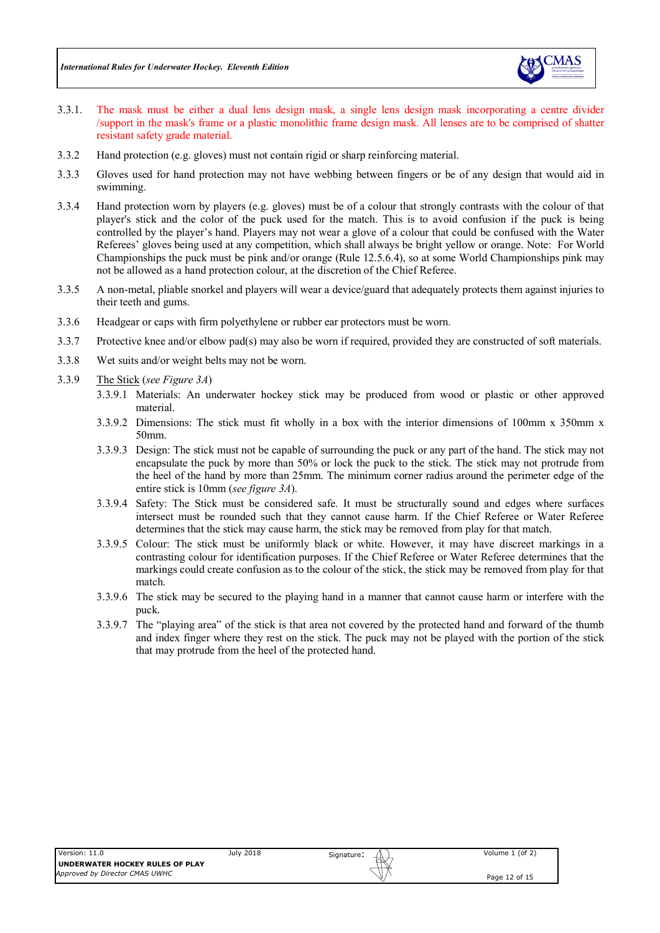

- 3.3.1. The mask must be either a dual lens design mask, a single lens design mask incorporating a centre divider /support in the mask's frame or a plastic monolithic frame design mask. All lenses are to be comprised of shatter resistant safety grade material.
- 3.3.2 Hand protection (e.g. gloves) must not contain rigid or sharp reinforcing material.
- 3.3.3 Gloves used for hand protection may not have webbing between fingers or be of any design that would aid in swimming.
- 3.3.4 Hand protection worn by players (e.g. gloves) must be of a colour that strongly contrasts with the colour of that player's stick and the color of the puck used for the match. This is to avoid confusion if the puck is being controlled by the player's hand. Players may not wear a glove of a colour that could be confused with the Water Referees' gloves being used at any competition, which shall always be bright yellow or orange. Note: For World Championships the puck must be pink and/or orange (Rule 12.5.6.4), so at some World Championships pink may not be allowed as a hand protection colour, at the discretion of the Chief Referee.
- 3.3.5 A non-metal, pliable snorkel and players will wear a device/guard that adequately protects them against injuries to their teeth and gums.
- 3.3.6 Headgear or caps with firm polyethylene or rubber ear protectors must be worn.
- 3.3.7 Protective knee and/or elbow pad(s) may also be worn if required, provided they are constructed of soft materials.
- 3.3.8 Wet suits and/or weight belts may not be worn.
- 3.3.9 The Stick (*see Figure 3A*)
	- 3.3.9.1 Materials: An underwater hockey stick may be produced from wood or plastic or other approved material.
	- 3.3.9.2 Dimensions: The stick must fit wholly in a box with the interior dimensions of 100mm x 350mm x 50mm.
	- 3.3.9.3 Design: The stick must not be capable of surrounding the puck or any part of the hand. The stick may not encapsulate the puck by more than 50% or lock the puck to the stick. The stick may not protrude from the heel of the hand by more than 25mm. The minimum corner radius around the perimeter edge of the entire stick is 10mm (*see figure 3A*).
	- 3.3.9.4 Safety: The Stick must be considered safe. It must be structurally sound and edges where surfaces intersect must be rounded such that they cannot cause harm. If the Chief Referee or Water Referee determines that the stick may cause harm, the stick may be removed from play for that match.
	- 3.3.9.5 Colour: The stick must be uniformly black or white. However, it may have discreet markings in a contrasting colour for identification purposes. If the Chief Referee or Water Referee determines that the markings could create confusion as to the colour of the stick, the stick may be removed from play for that match.
	- 3.3.9.6 The stick may be secured to the playing hand in a manner that cannot cause harm or interfere with the puck.
	- 3.3.9.7 The "playing area" of the stick is that area not covered by the protected hand and forward of the thumb and index finger where they rest on the stick. The puck may not be played with the portion of the stick that may protrude from the heel of the protected hand.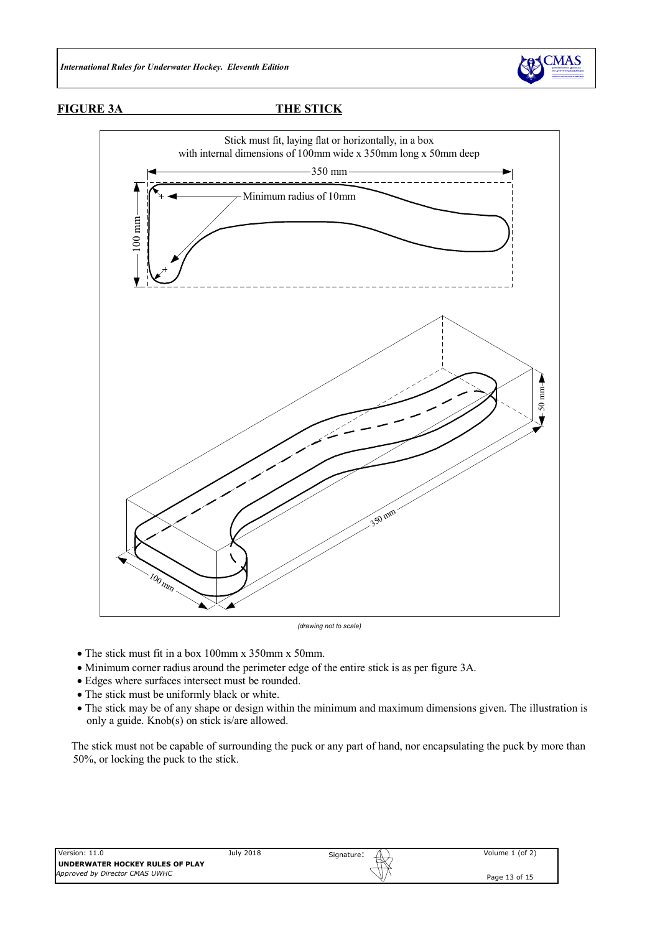

**FIGURE 3A THE STICK**



*(drawing not to scale)*

- The stick must fit in a box 100mm x 350mm x 50mm.
- Minimum corner radius around the perimeter edge of the entire stick is as per figure 3A.
- Edges where surfaces intersect must be rounded.
- The stick must be uniformly black or white.
- The stick may be of any shape or design within the minimum and maximum dimensions given. The illustration is only a guide. Knob(s) on stick is/are allowed.

The stick must not be capable of surrounding the puck or any part of hand, nor encapsulating the puck by more than 50%, or locking the puck to the stick.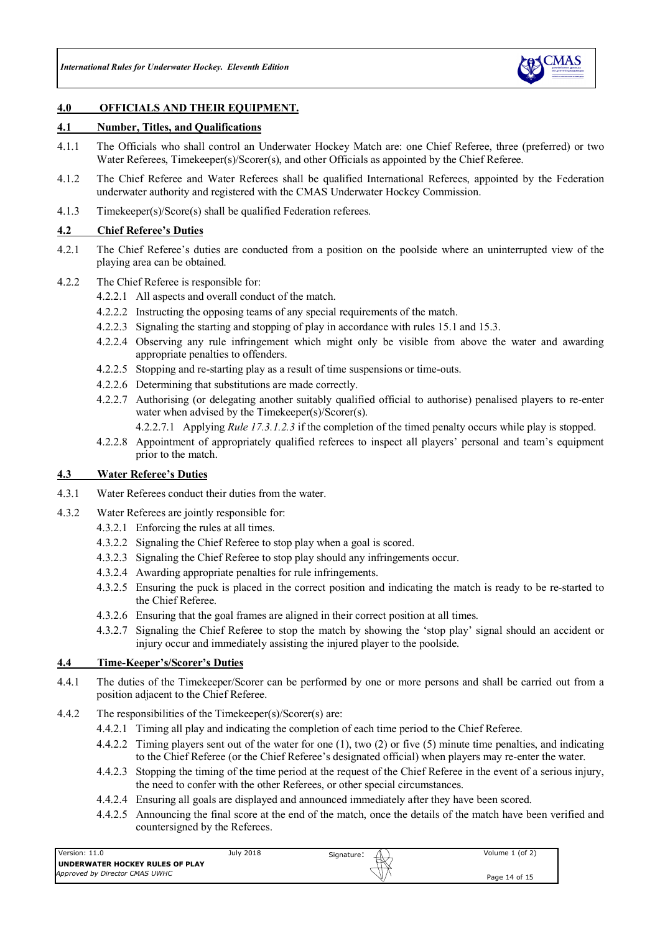

### **4.0 OFFICIALS AND THEIR EQUIPMENT.**

#### **4.1 Number, Titles, and Qualifications**

- 4.1.1 The Officials who shall control an Underwater Hockey Match are: one Chief Referee, three (preferred) or two Water Referees, Timekeeper(s)/Scorer(s), and other Officials as appointed by the Chief Referee.
- 4.1.2 The Chief Referee and Water Referees shall be qualified International Referees, appointed by the Federation underwater authority and registered with the CMAS Underwater Hockey Commission.
- 4.1.3 Timekeeper(s)/Score(s) shall be qualified Federation referees.

### **4.2 Chief Referee's Duties**

- 4.2.1 The Chief Referee's duties are conducted from a position on the poolside where an uninterrupted view of the playing area can be obtained.
- 4.2.2 The Chief Referee is responsible for:
	- 4.2.2.1 All aspects and overall conduct of the match.
	- 4.2.2.2 Instructing the opposing teams of any special requirements of the match.
	- 4.2.2.3 Signaling the starting and stopping of play in accordance with rules 15.1 and 15.3.
	- 4.2.2.4 Observing any rule infringement which might only be visible from above the water and awarding appropriate penalties to offenders.
	- 4.2.2.5 Stopping and re-starting play as a result of time suspensions or time-outs.
	- 4.2.2.6 Determining that substitutions are made correctly.
	- 4.2.2.7 Authorising (or delegating another suitably qualified official to authorise) penalised players to re-enter water when advised by the Timekeeper(s)/Scorer(s).
		- 4.2.2.7.1 Applying *Rule 17.3.1.2.3* if the completion of the timed penalty occurs while play is stopped.
	- 4.2.2.8 Appointment of appropriately qualified referees to inspect all players' personal and team's equipment prior to the match.

#### **4.3 Water Referee's Duties**

- 4.3.1 Water Referees conduct their duties from the water.
- 4.3.2 Water Referees are jointly responsible for:
	- 4.3.2.1 Enforcing the rules at all times.
	- 4.3.2.2 Signaling the Chief Referee to stop play when a goal is scored.
	- 4.3.2.3 Signaling the Chief Referee to stop play should any infringements occur.
	- 4.3.2.4 Awarding appropriate penalties for rule infringements.
	- 4.3.2.5 Ensuring the puck is placed in the correct position and indicating the match is ready to be re-started to the Chief Referee.
	- 4.3.2.6 Ensuring that the goal frames are aligned in their correct position at all times.
	- 4.3.2.7 Signaling the Chief Referee to stop the match by showing the 'stop play' signal should an accident or injury occur and immediately assisting the injured player to the poolside.

#### **4.4 Time-Keeper's/Scorer's Duties**

- 4.4.1 The duties of the Timekeeper/Scorer can be performed by one or more persons and shall be carried out from a position adjacent to the Chief Referee.
- 4.4.2 The responsibilities of the Timekeeper(s)/Scorer(s) are:
	- 4.4.2.1 Timing all play and indicating the completion of each time period to the Chief Referee.
	- 4.4.2.2 Timing players sent out of the water for one (1), two (2) or five (5) minute time penalties, and indicating to the Chief Referee (or the Chief Referee's designated official) when players may re-enter the water.
	- 4.4.2.3 Stopping the timing of the time period at the request of the Chief Referee in the event of a serious injury, the need to confer with the other Referees, or other special circumstances.
	- 4.4.2.4 Ensuring all goals are displayed and announced immediately after they have been scored.
	- 4.4.2.5 Announcing the final score at the end of the match, once the details of the match have been verified and countersigned by the Referees.

| Version: 11.0                          | July 2018 | Signature:<br>₩ | Volume 1 (of 2) |
|----------------------------------------|-----------|-----------------|-----------------|
| <b>UNDERWATER HOCKEY RULES OF PLAY</b> |           |                 |                 |
| Approved by Director CMAS UWHC         |           |                 | Page 14 of 15   |